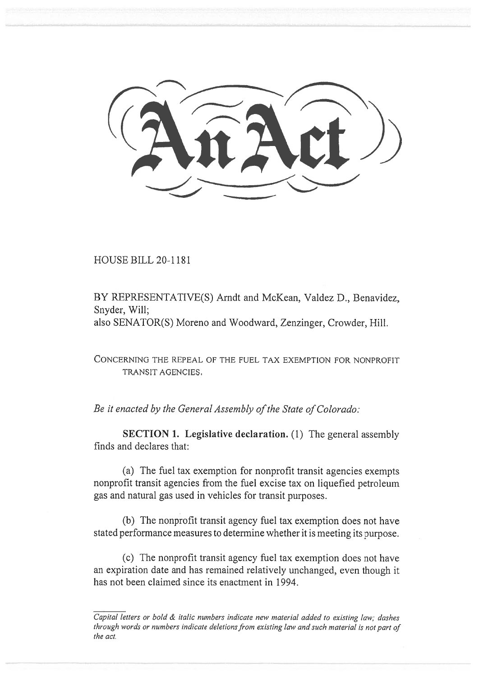HOUSE BILL 20-1181 HOUSE BILL 20-1181

BY REPRESENTATIVE(S) Arndt and McKean, Valdez D., Benavidez,<br>Snyder, Will;<br>also SENATOR(S) Moreno and Woodward, Zenzinger, Crowder, Hill.<br>CONCERNING THE REPEAL OF THE FUEL TAX EXEMPTION FOR NONPROFIT<br>TRANSIT AGENCIES. Snyder, Will; also SENATOR(S) Moreno and Woodward, Zenzinger, Crowder, Hill.

CONCERNING THE REPEAL OF THE FUEL TAX EXEMPTION FOR NONPROFIT TRANSIT AGENCIES.

*Be it enacted by the General Assembly of the State of Colorado: Be it enacted by the General Assembly of the State of Colorado:* 

**SECTION 1. Legislative declaration.** (1) The general assembly finds and declares that:

(a) The fuel tax exemption for nonprofit transit agencies exempts nonprofit transit agencies from the fuel excise tax on liquefied petroleum gas and natural gas used in vehicles for transit purposes. (a) The fuel tax exemption for nonprofit transit agencies exempts<br>
(a) The fuel tax exemption for nonprofit transit agencies exempts<br>
nonprofit transit agencies from the fuel excise tax on liquefied petroleum<br>
gas and natu

(b) The nonprofit transit agency fuel tax exemption does not have stated performance measures to determine whether it is meeting its purpose.

(c) The nonprofit transit agency fuel tax exemption does not have an expiration date and has remained relatively unchanged, even though it has not been claimed since its enactment in 1994.

*Capital letters or bold & italic numbers indicate new material added to existing law; dashes Capital letters or bold & italic numbers indicate new material added to existing law; dashes through words or numbers indicate deletions from existing law and such material is not part of through words or numbers indicate deletions from existing law and such material is not part of the act. the act.*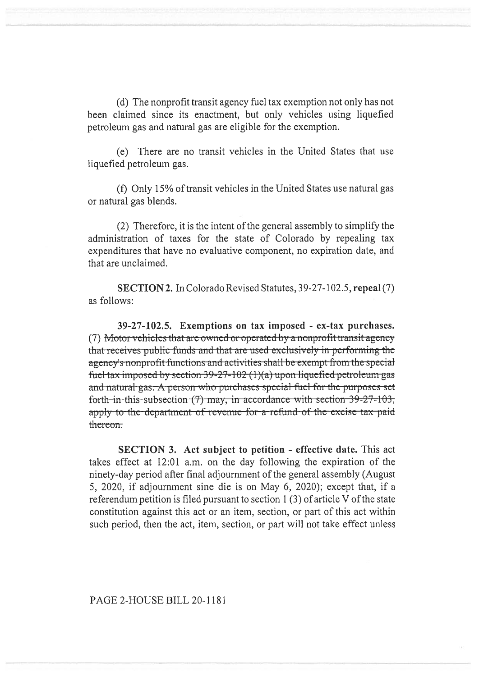(d) The nonprofit transit agency fuel tax exemption not only has not The nonprofit transit exemption not only has not been claimed since its enactment, but only vehicles using liquefied

petroleum gas and natural gas are eligible for the exemption.<br>
(e) There are no transit vehicles in the United States us<br>
(f) Only 15% of transit vehicles in the United States us<br>
or natural gas blends. (e) There are no transit vehicles in the United States that use liquefied petroleum gas.

(f) Only 15% of transit vehicles in the United States use natural gas or natural gas blends.

(2) Therefore, it is the intent of the general assembly to simplify the (2) Therefore, it is the intent of the general assembly to simplify the administration of taxes for the state of Colorado by repealing tax expenditures that have no evaluative component, no expiration date, and that are unclaimed.

are unclaimed.<br> **SECTION 2.** In Colorado Revised Statutes, 39-27-102.5, **repeal** (7) as follows:

**39-27-102.5. Exemptions on tax imposed - ex-tax purchases. 39-27-102.5. Exemptions on imposed -** (7) <del>Motor vehicles that are owned or operated by a nonprofit transit agency</del> ) whoter venicles that are owned or operated by a homprofit transit agency<br>at receives public funds and that are used exclusively in performing the gency's nonprofit functions and activities shall be exempt from the special posed by section 39-27-102 (1)(a) upon liquefied petroleum gas and natural gas. A person who purchases special fuel for the purposes set forth-in-this-subsection  $(7)$  may, in accordance with-section 39-27-103, thereon. and natural gas. A person who purchases special fuel for the purposes set forth in this subsection (7) may, in accordance with section 39-27-103, apply to the department of revenue for a refund of the excise tax paid (7) Motor vehicles that are owned or operated by a nonprofit transit agency<br>that receives public funds and that are used exclusively in performing the<br>agency's nonprofit functions and activities shall be exempt from the s

**SECTION 3. Act subject to petition - effective date.** This act takes effect at 12:01 a.m. on the day following the expiration of the ninety-day period after final adjournment of the general assembly (August 5, 2020, if adjournment sine die is on May 6, 2020); except that, if a ninety-day period after final adjournment of the general assembly (August 5, 2020, if adjournment sine die is on May 6, 2020); except that, if a referendum petition is filed pursuant to section 1 (3) of article V of the state referendum petition is filed pursuant to section 1 (3) of article V of the state constitution against this act or an item, section, or part of this act within such period, then the act, item, section, or part will not take effect unless

## PAGE 2-HOUSE BILL 20-1181 20-1181